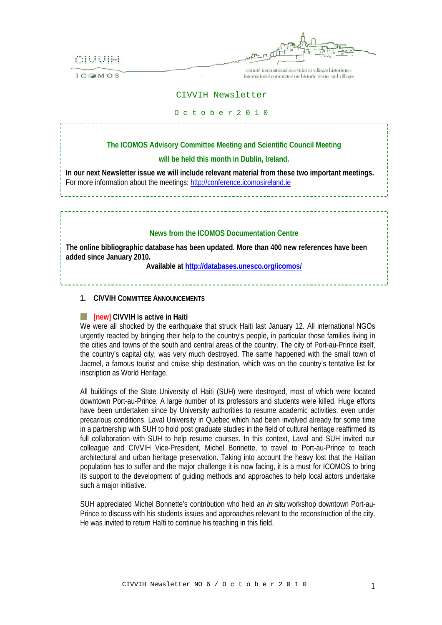

**ICOMOS** 

comité international des villes et villages historiques international committee on historic towns and villages

## CIVVIH Newsletter

#### O c t o b e r 2 0 1 0

# **The ICOMOS Advisory Committee Meeting and Scientific Council Meeting**

## **will be held this month in Dublin, Ireland.**

**In our next Newsletter issue we will include relevant material from these two important meetings.**  For more information about the meetings: [http://conference.icomosireland.ie](http://conference.icomosireland.ie/)

## **News from the ICOMOS Documentation Centre**

**The online bibliographic database has been updated. More than 400 new references have been added since January 2010.** 

**Available at<http://databases.unesco.org/icomos/>**

## **1. CIVVIH COMMITTEE ANNOUNCEMENTS**

#### **E. Filte Figure 11 CIVVIH is active in Haiti**

We were all shocked by the earthquake that struck Haiti last January 12. All international NGOs urgently reacted by bringing their help to the country's people, in particular those families living in the cities and towns of the south and central areas of the country. The city of Port-au-Prince itself, the country's capital city, was very much destroyed. The same happened with the small town of Jacmel, a famous tourist and cruise ship destination, which was on the country's tentative list for inscription as World Heritage.

All buildings of the State University of Haiti (SUH) were destroyed, most of which were located downtown Port-au-Prince. A large number of its professors and students were killed. Huge efforts have been undertaken since by University authorities to resume academic activities, even under precarious conditions. Laval University in Quebec which had been involved already for some time in a partnership with SUH to hold post graduate studies in the field of cultural heritage reaffirmed its full collaboration with SUH to help resume courses. In this context, Laval and SUH invited our colleague and CIVVIH Vice-President, Michel Bonnette, to travel to Port-au-Prince to teach architectural and urban heritage preservation. Taking into account the heavy lost that the Haitian population has to suffer and the major challenge it is now facing, it is a must for ICOMOS to bring its support to the development of guiding methods and approaches to help local actors undertake such a major initiative.

SUH appreciated Michel Bonnette's contribution who held an *in situ* workshop downtown Port-au-Prince to discuss with his students issues and approaches relevant to the reconstruction of the city. He was invited to return Haïti to continue his teaching in this field.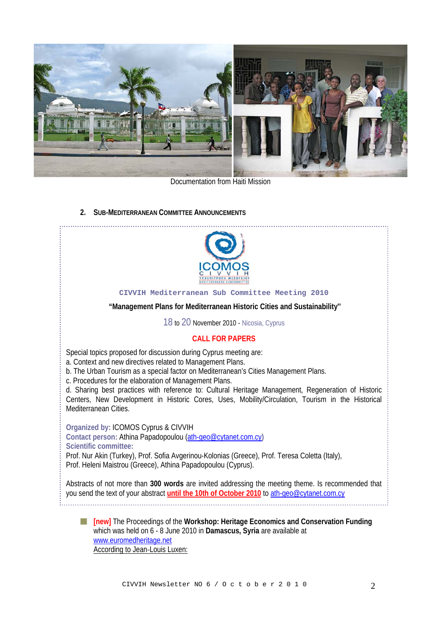

Documentation from Haiti Mission

# **2. SUB-MEDITERRANEAN COMMITTEE ANNOUNCEMENTS**



### **CIVVIH Mediterranean Sub Committee Meeting 2010**

### **"Management Plans for Mediterranean Historic Cities and Sustainability''**

18 to 20 November 2010 - Nicosia, Cyprus

# **CALL FOR PAPERS**

Special topics proposed for discussion during Cyprus meeting are:

a. Context and new directives related to Management Plans.

b. The Urban Tourism as a special factor on Mediterranean's Cities Management Plans.

c. Procedures for the elaboration of Management Plans.

d. Sharing best practices with reference to: Cultural Heritage Management, Regeneration of Historic Centers, New Development in Historic Cores, Uses, Mobility/Circulation, Tourism in the Historical Mediterranean Cities.

**Organized by:** ICOMOS Cyprus & CIVVIH

**Contact person:** Athina Papadopoulou [\(ath-geo@cytanet.com.cy](mailto:ath-geo@cytanet.com.cy)**) Scientific committee:**  Prof. Nur Akin (Turkey), Prof. Sofia Avgerinou-Kolonias (Greece), Prof. Teresa Coletta (Italy), Prof. Heleni Maistrou (Greece), Athina Papadopoulou (Cyprus).

Abstracts of not more than **300 words** are invited addressing the meeting theme. Is recommended that you send the text of your abstract **until the 10th of October 2010** to [ath-geo@cytanet.com.cy](mailto:ath-geo@cytanet.com.cy) 

**[new]** The Proceedings of the **Workshop: Heritage Economics and Conservation Funding** which was held on 6 - 8 June 2010 in **Damascus, Syria** are available at [www.euromedheritage.net](http://www.euromedheritage.net/) According to Jean‐Louis Luxen: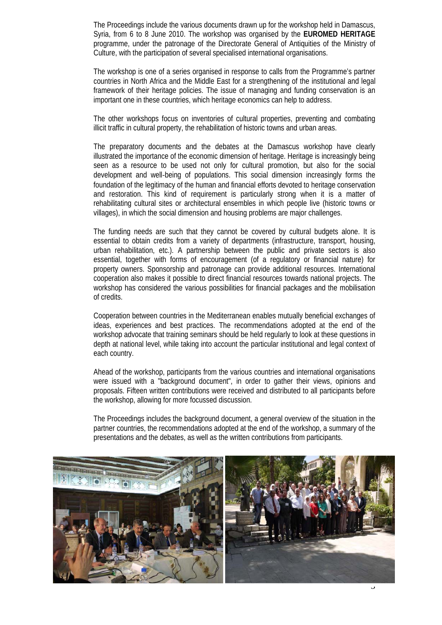The Proceedings include the various documents drawn up for the workshop held in Damascus, Syria, from 6 to 8 June 2010. The workshop was organised by the **EUROMED HERITAGE** programme, under the patronage of the Directorate General of Antiquities of the Ministry of Culture, with the participation of several specialised international organisations.

The workshop is one of a series organised in response to calls from the Programme's partner countries in North Africa and the Middle East for a strengthening of the institutional and legal framework of their heritage policies. The issue of managing and funding conservation is an important one in these countries, which heritage economics can help to address.

The other workshops focus on inventories of cultural properties, preventing and combating illicit traffic in cultural property, the rehabilitation of historic towns and urban areas.

The preparatory documents and the debates at the Damascus workshop have clearly illustrated the importance of the economic dimension of heritage. Heritage is increasingly being seen as a resource to be used not only for cultural promotion, but also for the social development and well‐being of populations. This social dimension increasingly forms the foundation of the legitimacy of the human and financial efforts devoted to heritage conservation and restoration. This kind of requirement is particularly strong when it is a matter of rehabilitating cultural sites or architectural ensembles in which people live (historic towns or villages), in which the social dimension and housing problems are major challenges.

The funding needs are such that they cannot be covered by cultural budgets alone. It is essential to obtain credits from a variety of departments (infrastructure, transport, housing, urban rehabilitation, etc.). A partnership between the public and private sectors is also essential, together with forms of encouragement (of a regulatory or financial nature) for property owners. Sponsorship and patronage can provide additional resources. International cooperation also makes it possible to direct financial resources towards national projects. The workshop has considered the various possibilities for financial packages and the mobilisation of credits.

Cooperation between countries in the Mediterranean enables mutually beneficial exchanges of ideas, experiences and best practices. The recommendations adopted at the end of the workshop advocate that training seminars should be held regularly to look at these questions in depth at national level, while taking into account the particular institutional and legal context of each country.

Ahead of the workshop, participants from the various countries and international organisations were issued with a "background document", in order to gather their views, opinions and proposals. Fifteen written contributions were received and distributed to all participants before the workshop, allowing for more focussed discussion.

The Proceedings includes the background document, a general overview of the situation in the partner countries, the recommendations adopted at the end of the workshop, a summary of the presentations and the debates, as well as the written contributions from participants.

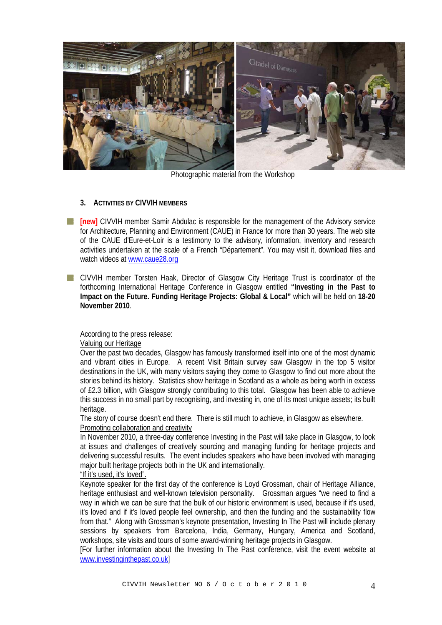

Photographic material from the Workshop

# **3. ACTIVITIES BY CIVVIH MEMBERS**

- **[inew]** CIVVIH member Samir Abdulac is responsible for the management of the Advisory service for Architecture, Planning and Environment (CAUE) in France for more than 30 years. The web site of the CAUE d'Eure-et-Loir is a testimony to the advisory, information, inventory and research activities undertaken at the scale of a French "Département". You may visit it, download files and watch videos at [www.caue28.org](http://www.caue28.org/)
- **T** CIVVIH member Torsten Haak, Director of Glasgow City Heritage Trust is coordinator of the forthcoming International Heritage Conference in Glasgow entitled **"Investing in the Past to Impact on the Future. Funding Heritage Projects: Global & Local"** which will be held on **18-20 November 2010**.

# According to the press release:

# Valuing our Heritage

Over the past two decades, Glasgow has famously transformed itself into one of the most dynamic and vibrant cities in Europe. A recent Visit Britain survey saw Glasgow in the top 5 visitor destinations in the UK, with many visitors saying they come to Glasgow to find out more about the stories behind its history. Statistics show heritage in Scotland as a whole as being worth in excess of £2.3 billion, with Glasgow strongly contributing to this total. Glasgow has been able to achieve this success in no small part by recognising, and investing in, one of its most unique assets; its built heritage.

The story of course doesn't end there. There is still much to achieve, in Glasgow as elsewhere. Promoting collaboration and creativity

In November 2010, a three-day conference Investing in the Past will take place in Glasgow, to look at issues and challenges of creatively sourcing and managing funding for heritage projects and delivering successful results. The event includes speakers who have been involved with managing major built heritage projects both in the UK and internationally.

# "If it's used, it's loved".

Keynote speaker for the first day of the conference is Loyd Grossman, chair of Heritage Alliance, heritage enthusiast and well-known television personality. Grossman argues "we need to find a way in which we can be sure that the bulk of our historic environment is used, because if it's used, it's loved and if it's loved people feel ownership, and then the funding and the sustainability flow from that." Along with Grossman's keynote presentation, Investing In The Past will include plenary sessions by speakers from Barcelona, India, Germany, Hungary, America and Scotland, workshops, site visits and tours of some award-winning heritage projects in Glasgow.

[For further information about the Investing In The Past conference, visit the event website at [www.investinginthepast.co.uk](http://www.investinginthepast.co.uk/)]